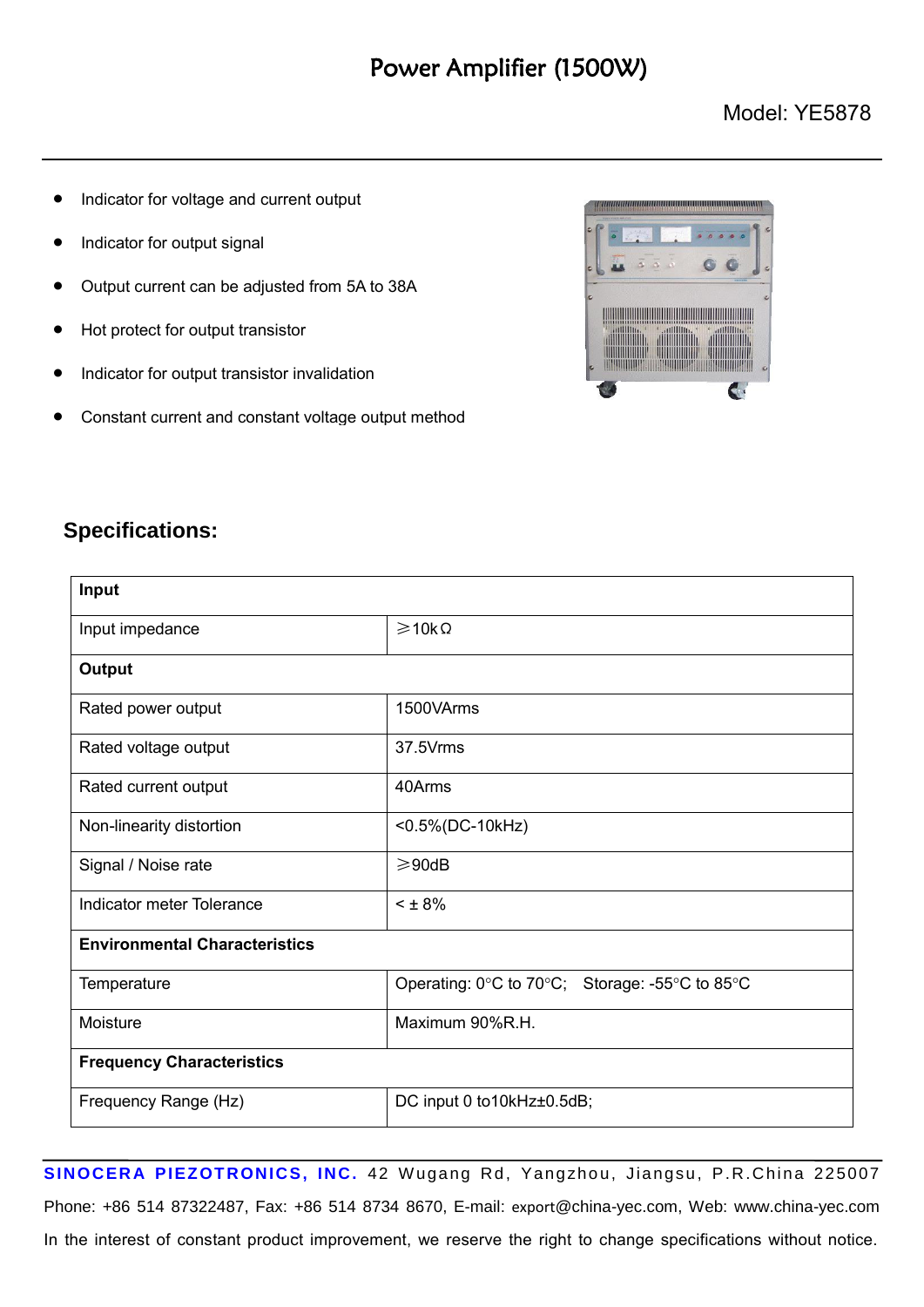## Power Amplifier (1500W)

- Indicator for voltage and current output
- Indicator for output signal
- Output current can be adjusted from 5A to 38A
- Hot protect for output transistor
- Indicator for output transistor invalidation
- Constant current and constant voltage output method



## **Specifications:**

| Input                                |                                                |  |
|--------------------------------------|------------------------------------------------|--|
| Input impedance                      | $\geqslant$ 10k $\Omega$                       |  |
| <b>Output</b>                        |                                                |  |
| Rated power output                   | 1500VArms                                      |  |
| Rated voltage output                 | 37.5Vrms                                       |  |
| Rated current output                 | 40Arms                                         |  |
| Non-linearity distortion             | <0.5%(DC-10kHz)                                |  |
| Signal / Noise rate                  | $\geqslant$ 90dB                               |  |
| Indicator meter Tolerance            | $< 1.8\%$                                      |  |
| <b>Environmental Characteristics</b> |                                                |  |
| Temperature                          | Operating: 0°C to 70°C; Storage: -55°C to 85°C |  |
| Moisture                             | Maximum 90%R.H.                                |  |
| <b>Frequency Characteristics</b>     |                                                |  |
| Frequency Range (Hz)                 | DC input 0 to 10kHz±0.5dB;                     |  |

SINOCERA PIEZOTRONICS, INC. 42 Wugang Rd, Yangzhou, Jiangsu, P.R.China 225007 Phone: +86 514 87322487, Fax: +86 514 8734 8670, E-mail: export[@china-yec.com,](mailto:sales@china-yec.com,) Web: www.china-yec.com In the interest of constant product improvement, we reserve the right to change specifications without notice.